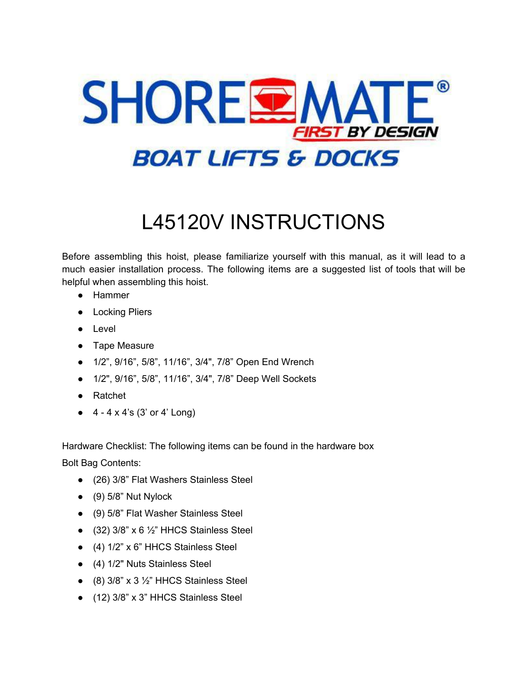

# L45120V INSTRUCTIONS

Before assembling this hoist, please familiarize yourself with this manual, as it will lead to a much easier installation process. The following items are a suggested list of tools that will be helpful when assembling this hoist.

- Hammer
- Locking Pliers
- Level
- Tape Measure
- 1/2", 9/16", 5/8", 11/16", 3/4", 7/8" Open End Wrench
- 1/2", 9/16", 5/8", 11/16", 3/4", 7/8" Deep Well Sockets
- Ratchet
- $\bullet$  4 4 x 4's (3' or 4' Long)

Hardware Checklist: The following items can be found in the hardware box

Bolt Bag Contents:

- (26) 3/8" Flat Washers Stainless Steel
- $\bullet$  (9) 5/8" Nut Nylock
- (9) 5/8" Flat Washer Stainless Steel
- $\bullet$  (32) 3/8" x 6 1/2" HHCS Stainless Steel
- (4) 1/2" x 6" HHCS Stainless Steel
- (4) 1/2" Nuts Stainless Steel
- $\bullet$  (8) 3/8" x 3 1/2" HHCS Stainless Steel
- (12) 3/8" x 3" HHCS Stainless Steel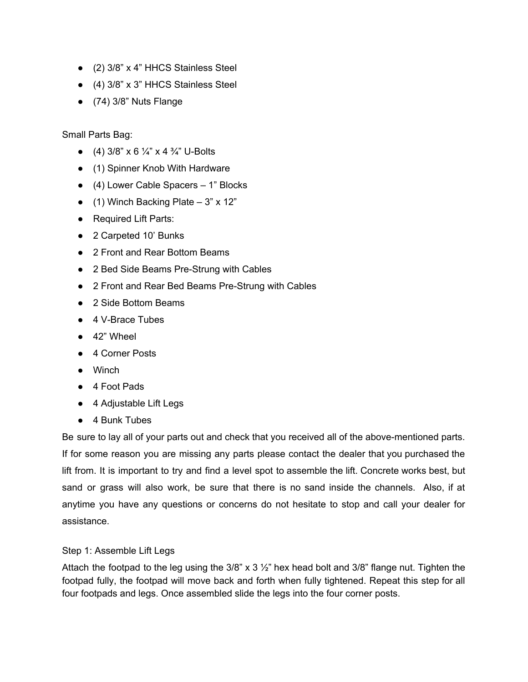- (2) 3/8" x 4" HHCS Stainless Steel
- (4) 3/8" x 3" HHCS Stainless Steel
- (74) 3/8" Nuts Flange

Small Parts Bag:

- (4)  $3/8$ " x 6  $\frac{1}{4}$ " x 4  $\frac{3}{4}$ " U-Bolts
- (1) Spinner Knob With Hardware
- (4) Lower Cable Spacers 1" Blocks
- $\bullet$  (1) Winch Backing Plate 3" x 12"
- Required Lift Parts:
- 2 Carpeted 10' Bunks
- 2 Front and Rear Bottom Beams
- 2 Bed Side Beams Pre-Strung with Cables
- 2 Front and Rear Bed Beams Pre-Strung with Cables
- 2 Side Bottom Beams
- 4 V-Brace Tubes
- 42" Wheel
- 4 Corner Posts
- Winch
- 4 Foot Pads
- 4 Adjustable Lift Legs
- 4 Bunk Tubes

Be sure to lay all of your parts out and check that you received all of the above-mentioned parts. If for some reason you are missing any parts please contact the dealer that you purchased the lift from. It is important to try and find a level spot to assemble the lift. Concrete works best, but sand or grass will also work, be sure that there is no sand inside the channels. Also, if at anytime you have any questions or concerns do not hesitate to stop and call your dealer for assistance.

# Step 1: Assemble Lift Legs

Attach the footpad to the leg using the 3/8" x 3 ½" hex head bolt and 3/8" flange nut. Tighten the footpad fully, the footpad will move back and forth when fully tightened. Repeat this step for all four footpads and legs. Once assembled slide the legs into the four corner posts.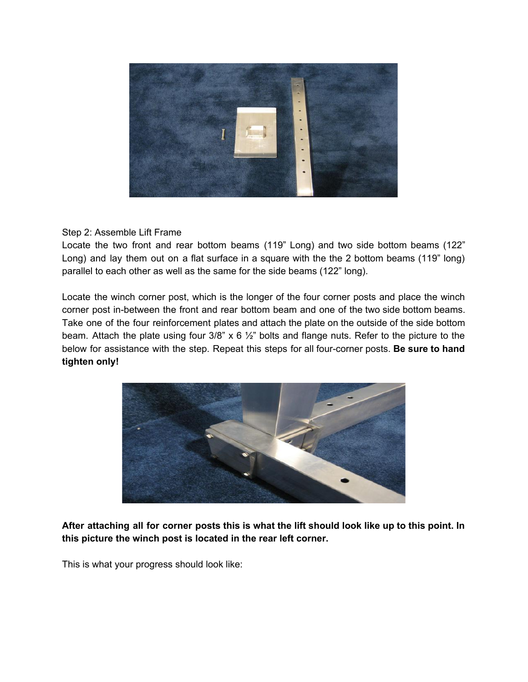

Step 2: Assemble Lift Frame

Locate the two front and rear bottom beams (119" Long) and two side bottom beams (122" Long) and lay them out on a flat surface in a square with the the 2 bottom beams (119" long) parallel to each other as well as the same for the side beams (122" long).

Locate the winch corner post, which is the longer of the four corner posts and place the winch corner post in-between the front and rear bottom beam and one of the two side bottom beams. Take one of the four reinforcement plates and attach the plate on the outside of the side bottom beam. Attach the plate using four  $3/8$ " x 6  $\frac{1}{2}$ " bolts and flange nuts. Refer to the picture to the below for assistance with the step. Repeat this steps for all four-corner posts. **Be sure to hand tighten only!**



After attaching all for corner posts this is what the lift should look like up to this point. In **this picture the winch post is located in the rear left corner.**

This is what your progress should look like: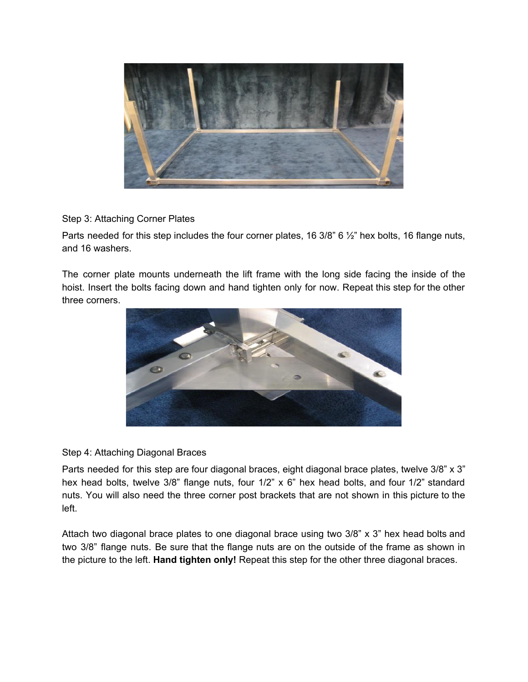

Step 3: Attaching Corner Plates

Parts needed for this step includes the four corner plates, 16 3/8" 6 1/2" hex bolts, 16 flange nuts, and 16 washers.

The corner plate mounts underneath the lift frame with the long side facing the inside of the hoist. Insert the bolts facing down and hand tighten only for now. Repeat this step for the other three corners.



# Step 4: Attaching Diagonal Braces

Parts needed for this step are four diagonal braces, eight diagonal brace plates, twelve 3/8" x 3" hex head bolts, twelve 3/8" flange nuts, four 1/2" x 6" hex head bolts, and four 1/2" standard nuts. You will also need the three corner post brackets that are not shown in this picture to the left.

Attach two diagonal brace plates to one diagonal brace using two 3/8" x 3" hex head bolts and two 3/8" flange nuts. Be sure that the flange nuts are on the outside of the frame as shown in the picture to the left. **Hand tighten only!** Repeat this step for the other three diagonal braces.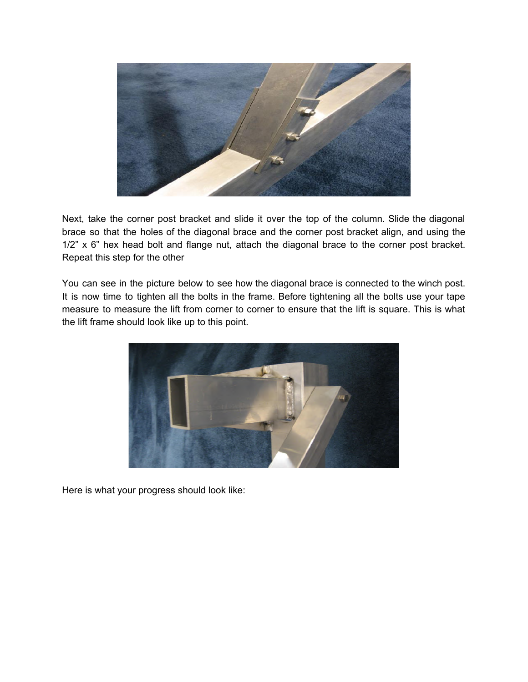

Next, take the corner post bracket and slide it over the top of the column. Slide the diagonal brace so that the holes of the diagonal brace and the corner post bracket align, and using the 1/2" x 6" hex head bolt and flange nut, attach the diagonal brace to the corner post bracket. Repeat this step for the other

You can see in the picture below to see how the diagonal brace is connected to the winch post. It is now time to tighten all the bolts in the frame. Before tightening all the bolts use your tape measure to measure the lift from corner to corner to ensure that the lift is square. This is what the lift frame should look like up to this point.



Here is what your progress should look like: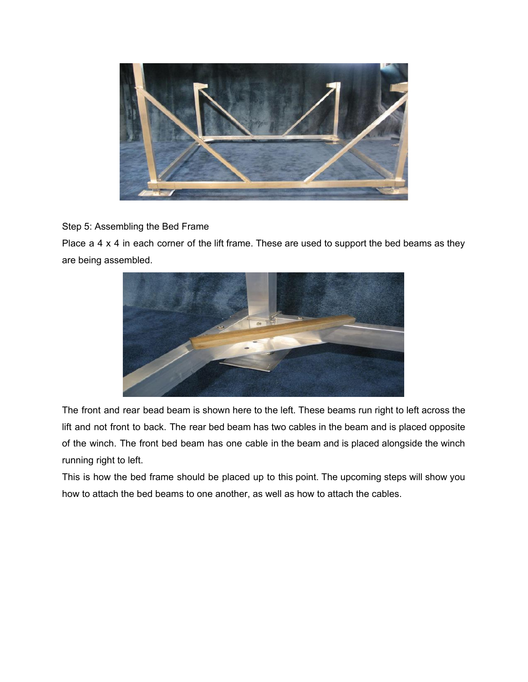

# Step 5: Assembling the Bed Frame

Place a 4 x 4 in each corner of the lift frame. These are used to support the bed beams as they are being assembled.



The front and rear bead beam is shown here to the left. These beams run right to left across the lift and not front to back. The rear bed beam has two cables in the beam and is placed opposite of the winch. The front bed beam has one cable in the beam and is placed alongside the winch running right to left.

This is how the bed frame should be placed up to this point. The upcoming steps will show you how to attach the bed beams to one another, as well as how to attach the cables.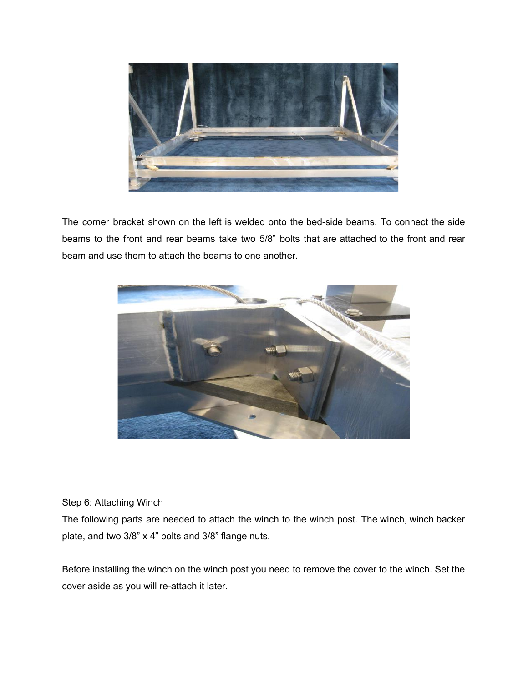

The corner bracket shown on the left is welded onto the bed-side beams. To connect the side beams to the front and rear beams take two 5/8" bolts that are attached to the front and rear beam and use them to attach the beams to one another.



# Step 6: Attaching Winch

The following parts are needed to attach the winch to the winch post. The winch, winch backer plate, and two 3/8" x 4" bolts and 3/8" flange nuts.

Before installing the winch on the winch post you need to remove the cover to the winch. Set the cover aside as you will re-attach it later.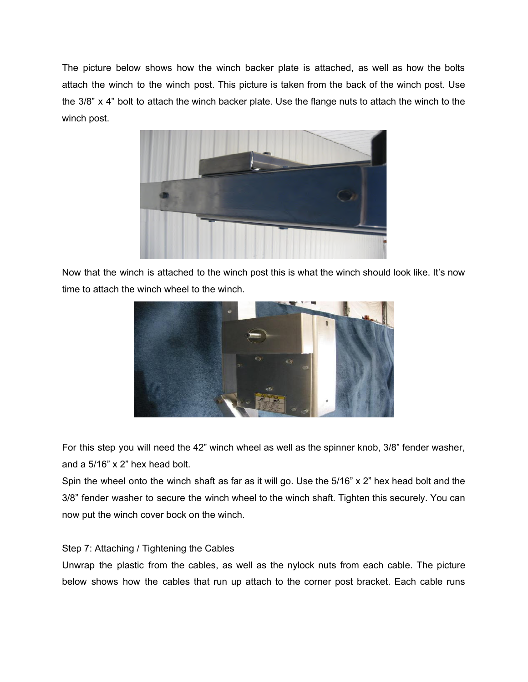The picture below shows how the winch backer plate is attached, as well as how the bolts attach the winch to the winch post. This picture is taken from the back of the winch post. Use the 3/8" x 4" bolt to attach the winch backer plate. Use the flange nuts to attach the winch to the winch post.



Now that the winch is attached to the winch post this is what the winch should look like. It's now time to attach the winch wheel to the winch.



For this step you will need the 42" winch wheel as well as the spinner knob, 3/8" fender washer, and a 5/16" x 2" hex head bolt.

Spin the wheel onto the winch shaft as far as it will go. Use the 5/16" x 2" hex head bolt and the 3/8" fender washer to secure the winch wheel to the winch shaft. Tighten this securely. You can now put the winch cover bock on the winch.

### Step 7: Attaching / Tightening the Cables

Unwrap the plastic from the cables, as well as the nylock nuts from each cable. The picture below shows how the cables that run up attach to the corner post bracket. Each cable runs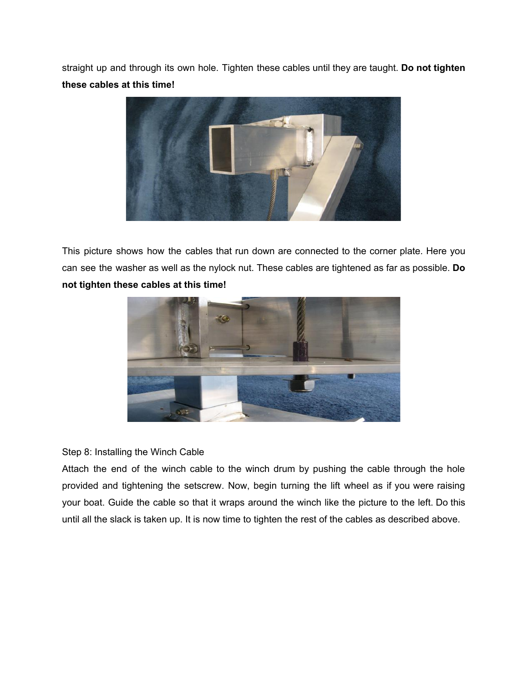straight up and through its own hole. Tighten these cables until they are taught. **Do not tighten these cables at this time!**



This picture shows how the cables that run down are connected to the corner plate. Here you can see the washer as well as the nylock nut. These cables are tightened as far as possible. **Do not tighten these cables at this time!**



### Step 8: Installing the Winch Cable

Attach the end of the winch cable to the winch drum by pushing the cable through the hole provided and tightening the setscrew. Now, begin turning the lift wheel as if you were raising your boat. Guide the cable so that it wraps around the winch like the picture to the left. Do this until all the slack is taken up. It is now time to tighten the rest of the cables as described above.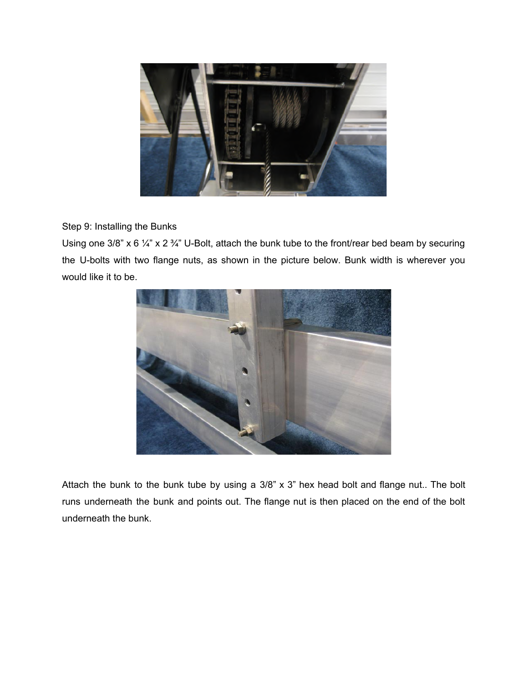

Step 9: Installing the Bunks

Using one 3/8" x 6  $\frac{1}{4}$ " x 2  $\frac{3}{4}$ " U-Bolt, attach the bunk tube to the front/rear bed beam by securing the U-bolts with two flange nuts, as shown in the picture below. Bunk width is wherever you would like it to be.



Attach the bunk to the bunk tube by using a 3/8" x 3" hex head bolt and flange nut.. The bolt runs underneath the bunk and points out. The flange nut is then placed on the end of the bolt underneath the bunk.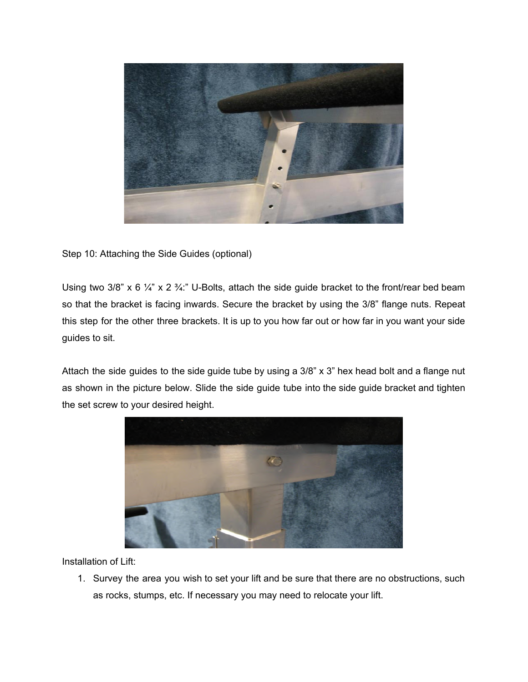

Step 10: Attaching the Side Guides (optional)

Using two 3/8" x 6  $\frac{1}{4}$ " x 2  $\frac{3}{4}$ ." U-Bolts, attach the side guide bracket to the front/rear bed beam so that the bracket is facing inwards. Secure the bracket by using the 3/8" flange nuts. Repeat this step for the other three brackets. It is up to you how far out or how far in you want your side guides to sit.

Attach the side guides to the side guide tube by using a 3/8" x 3" hex head bolt and a flange nut as shown in the picture below. Slide the side guide tube into the side guide bracket and tighten the set screw to your desired height.



Installation of Lift:

1. Survey the area you wish to set your lift and be sure that there are no obstructions, such as rocks, stumps, etc. If necessary you may need to relocate your lift.